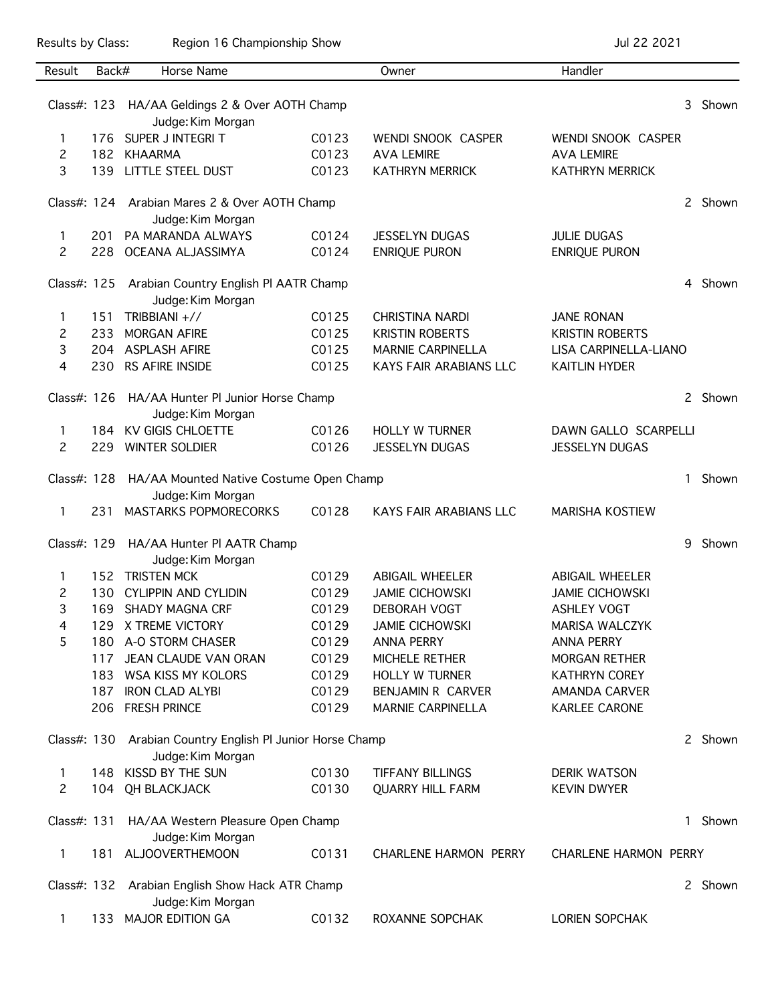Results by Class: Region 16 Championship Show Championship Show Jul 22 2021

| Result         | Back#                                                                          | Horse Name                                                           |       | Owner                         | Handler                      |              |         |
|----------------|--------------------------------------------------------------------------------|----------------------------------------------------------------------|-------|-------------------------------|------------------------------|--------------|---------|
|                |                                                                                |                                                                      |       |                               |                              |              |         |
| Class#: 123    |                                                                                | HA/AA Geldings 2 & Over AOTH Champ                                   |       |                               |                              | 3            | Shown   |
|                |                                                                                | Judge: Kim Morgan                                                    |       |                               |                              |              |         |
| 1              |                                                                                | 176 SUPER J INTEGRIT                                                 | C0123 | WENDI SNOOK CASPER            | WENDI SNOOK CASPER           |              |         |
| 2              |                                                                                | 182 KHAARMA                                                          | C0123 | <b>AVA LEMIRE</b>             | <b>AVA LEMIRE</b>            |              |         |
| 3              | 139                                                                            | LITTLE STEEL DUST                                                    | C0123 | <b>KATHRYN MERRICK</b>        | <b>KATHRYN MERRICK</b>       |              |         |
|                |                                                                                | Class#: 124 Arabian Mares 2 & Over AOTH Champ<br>Judge: Kim Morgan   |       |                               |                              | $\mathbf{2}$ | Shown   |
| 1              | 201                                                                            | PA MARANDA ALWAYS                                                    | C0124 | <b>JESSELYN DUGAS</b>         | <b>JULIE DUGAS</b>           |              |         |
| $\overline{c}$ | 228                                                                            | OCEANA ALJASSIMYA                                                    | C0124 | <b>ENRIQUE PURON</b>          | ENRIQUE PURON                |              |         |
|                |                                                                                |                                                                      |       |                               |                              |              |         |
| Class#: 125    |                                                                                | Arabian Country English PI AATR Champ<br>Judge: Kim Morgan           |       |                               |                              |              | Shown   |
| 1              | 151                                                                            | TRIBBIANI +//                                                        | C0125 | <b>CHRISTINA NARDI</b>        | <b>JANE RONAN</b>            |              |         |
| 2              | 233                                                                            | <b>MORGAN AFIRE</b>                                                  | C0125 | <b>KRISTIN ROBERTS</b>        | <b>KRISTIN ROBERTS</b>       |              |         |
| 3              |                                                                                | 204 ASPLASH AFIRE                                                    | C0125 | <b>MARNIE CARPINELLA</b>      | LISA CARPINELLA-LIANO        |              |         |
| 4              | 230                                                                            | RS AFIRE INSIDE                                                      | C0125 | KAYS FAIR ARABIANS LLC        | <b>KAITLIN HYDER</b>         |              |         |
| Class#: 126    |                                                                                | HA/AA Hunter PI Junior Horse Champ<br>Judge: Kim Morgan              |       |                               |                              |              | Shown   |
| 1              | 184                                                                            | <b>KV GIGIS CHLOETTE</b>                                             | C0126 | <b>HOLLY W TURNER</b>         | DAWN GALLO SCARPELLI         |              |         |
| 2              | 229                                                                            | <b>WINTER SOLDIER</b>                                                | C0126 | <b>JESSELYN DUGAS</b>         | <b>JESSELYN DUGAS</b>        |              |         |
|                |                                                                                |                                                                      |       |                               |                              |              |         |
| Class#: 128    |                                                                                | HA/AA Mounted Native Costume Open Champ                              |       |                               | 1                            | Shown        |         |
| 1              | 231                                                                            | Judge: Kim Morgan<br><b>MASTARKS POPMORECORKS</b>                    | C0128 | <b>KAYS FAIR ARABIANS LLC</b> | <b>MARISHA KOSTIEW</b>       |              |         |
|                |                                                                                |                                                                      |       |                               |                              |              |         |
| Class#: 129    |                                                                                | HA/AA Hunter PI AATR Champ<br>Judge: Kim Morgan                      |       |                               |                              | 9            | Shown   |
| 1              | 152                                                                            | <b>TRISTEN MCK</b>                                                   | C0129 | <b>ABIGAIL WHEELER</b>        | <b>ABIGAIL WHEELER</b>       |              |         |
| 2              | 130                                                                            | <b>CYLIPPIN AND CYLIDIN</b>                                          | C0129 | <b>JAMIE CICHOWSKI</b>        | <b>JAMIE CICHOWSKI</b>       |              |         |
| 3              | 169                                                                            | <b>SHADY MAGNA CRF</b>                                               | C0129 | <b>DEBORAH VOGT</b>           | <b>ASHLEY VOGT</b>           |              |         |
| 4              | 129                                                                            | X TREME VICTORY                                                      | C0129 | <b>JAMIE CICHOWSKI</b>        | <b>MARISA WALCZYK</b>        |              |         |
| 5              |                                                                                | 180 A-O STORM CHASER                                                 | C0129 | <b>ANNA PERRY</b>             | <b>ANNA PERRY</b>            |              |         |
|                | 117                                                                            | JEAN CLAUDE VAN ORAN                                                 | C0129 | MICHELE RETHER                | <b>MORGAN RETHER</b>         |              |         |
|                | 183                                                                            | WSA KISS MY KOLORS                                                   | C0129 | <b>HOLLY W TURNER</b>         | <b>KATHRYN COREY</b>         |              |         |
|                | 187                                                                            | <b>IRON CLAD ALYBI</b>                                               | C0129 | BENJAMIN R CARVER             | <b>AMANDA CARVER</b>         |              |         |
|                |                                                                                | 206 FRESH PRINCE                                                     | C0129 | <b>MARNIE CARPINELLA</b>      | <b>KARLEE CARONE</b>         |              |         |
|                | Class#: 130 Arabian Country English PI Junior Horse Champ<br>Judge: Kim Morgan |                                                                      |       |                               |                              |              | 2 Shown |
| 1              | 148                                                                            | KISSD BY THE SUN                                                     | C0130 | <b>TIFFANY BILLINGS</b>       | <b>DERIK WATSON</b>          |              |         |
| $\mathbf{2}$   |                                                                                | 104 QH BLACKJACK                                                     | C0130 | <b>QUARRY HILL FARM</b>       | <b>KEVIN DWYER</b>           |              |         |
|                |                                                                                |                                                                      |       |                               |                              |              |         |
| Class#: 131    |                                                                                | HA/AA Western Pleasure Open Champ                                    |       |                               |                              | $\mathbf{1}$ | Shown   |
|                |                                                                                | Judge: Kim Morgan                                                    |       |                               |                              |              |         |
| $\mathbf{1}$   | 181.                                                                           | <b>ALJOOVERTHEMOON</b>                                               | C0131 | <b>CHARLENE HARMON PERRY</b>  | <b>CHARLENE HARMON PERRY</b> |              |         |
|                |                                                                                | Class#: 132 Arabian English Show Hack ATR Champ<br>Judge: Kim Morgan |       |                               |                              |              | 2 Shown |
| 1              |                                                                                | 133 MAJOR EDITION GA                                                 | C0132 | ROXANNE SOPCHAK               | LORIEN SOPCHAK               |              |         |